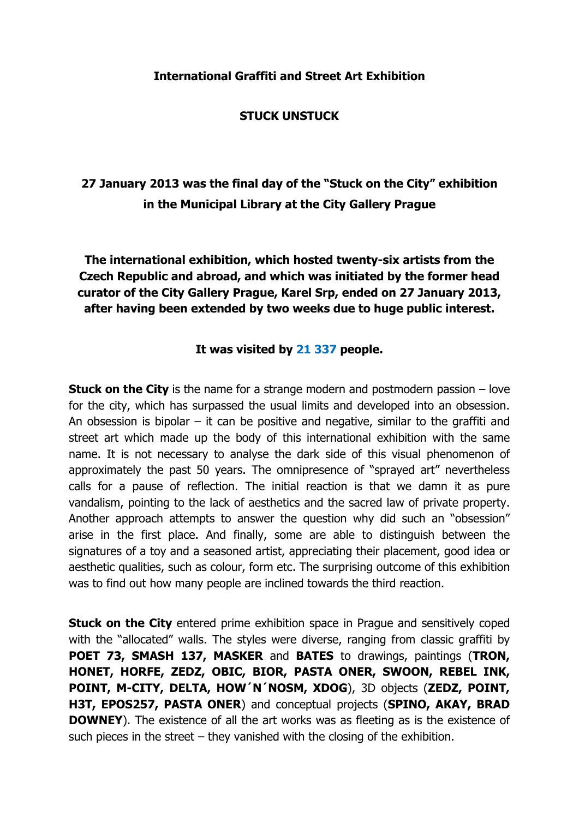#### **STUCK UNSTUCK**

# **27 January 2013 was the final day of the "Stuck on the City" exhibition in the Municipal Library at the City Gallery Prague**

**The international exhibition, which hosted twenty-six artists from the Czech Republic and abroad, and which was initiated by the former head curator of the City Gallery Prague, Karel Srp, ended on 27 January 2013, after having been extended by two weeks due to huge public interest.** 

### **It was visited by 21 337 people.**

**Stuck on the City** is the name for a strange modern and postmodern passion – love for the city, which has surpassed the usual limits and developed into an obsession. An obsession is bipolar  $-$  it can be positive and negative, similar to the graffiti and street art which made up the body of this international exhibition with the same name. It is not necessary to analyse the dark side of this visual phenomenon of approximately the past 50 years. The omnipresence of "sprayed art" nevertheless calls for a pause of reflection. The initial reaction is that we damn it as pure vandalism, pointing to the lack of aesthetics and the sacred law of private property. Another approach attempts to answer the question why did such an "obsession" arise in the first place. And finally, some are able to distinguish between the signatures of a toy and a seasoned artist, appreciating their placement, good idea or aesthetic qualities, such as colour, form etc. The surprising outcome of this exhibition was to find out how many people are inclined towards the third reaction.

**Stuck on the City** entered prime exhibition space in Praque and sensitively coped with the "allocated" walls. The styles were diverse, ranging from classic graffiti by **POET 73, SMASH 137, MASKER** and **BATES** to drawings, paintings (**TRON, HONET, HORFE, ZEDZ, OBIC, BIOR, PASTA ONER, SWOON, REBEL INK, POINT, M-CITY, DELTA, HOW´N´NOSM, XDOG**), 3D objects (**ZEDZ, POINT, H3T, EPOS257, PASTA ONER**) and conceptual projects (**SPINO, AKAY, BRAD DOWNEY**). The existence of all the art works was as fleeting as is the existence of such pieces in the street – they vanished with the closing of the exhibition.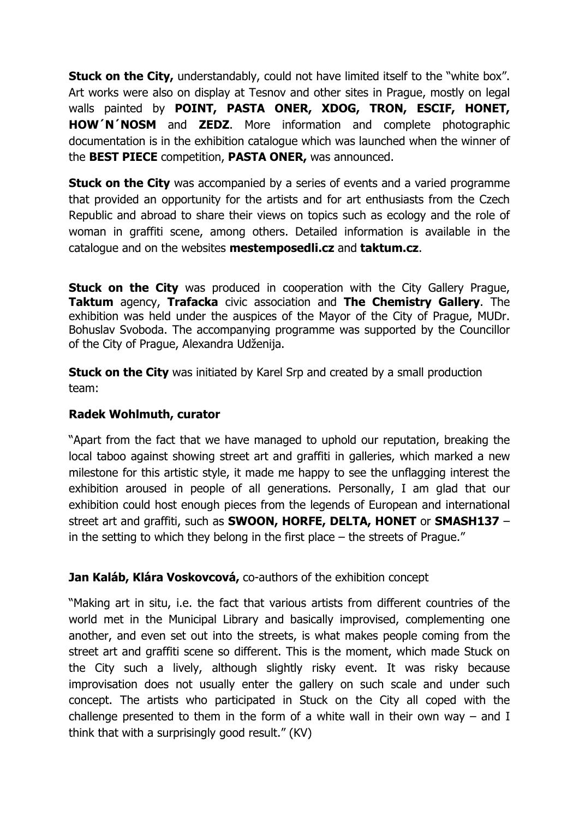**Stuck on the City,** understandably, could not have limited itself to the "white box". Art works were also on display at Tesnov and other sites in Prague, mostly on legal walls painted by **POINT, PASTA ONER, XDOG, TRON, ESCIF, HONET, HOW´N´NOSM** and **ZEDZ**. More information and complete photographic documentation is in the exhibition catalogue which was launched when the winner of the **BEST PIECE** competition, **PASTA ONER,** was announced.

**Stuck on the City** was accompanied by a series of events and a varied programme that provided an opportunity for the artists and for art enthusiasts from the Czech Republic and abroad to share their views on topics such as ecology and the role of woman in graffiti scene, among others. Detailed information is available in the catalogue and on the websites **mestemposedli.cz** and **taktum.cz**.

**Stuck on the City** was produced in cooperation with the City Gallery Prague, **Taktum** agency, **Trafacka** civic association and **The Chemistry Gallery**. The exhibition was held under the auspices of the Mayor of the City of Prague, MUDr. Bohuslav Svoboda. The accompanying programme was supported by the Councillor of the City of Prague, Alexandra Udženija.

**Stuck on the City** was initiated by Karel Srp and created by a small production team:

#### **Radek Wohlmuth, curator**

"Apart from the fact that we have managed to uphold our reputation, breaking the local taboo against showing street art and graffiti in galleries, which marked a new milestone for this artistic style, it made me happy to see the unflagging interest the exhibition aroused in people of all generations. Personally, I am glad that our exhibition could host enough pieces from the legends of European and international street art and graffiti, such as **SWOON, HORFE, DELTA, HONET** or **SMASH137** – in the setting to which they belong in the first place – the streets of Prague."

# **Jan Kaláb, Klára Voskovcová,** co-authors of the exhibition concept

"Making art in situ, i.e. the fact that various artists from different countries of the world met in the Municipal Library and basically improvised, complementing one another, and even set out into the streets, is what makes people coming from the street art and graffiti scene so different. This is the moment, which made Stuck on the City such a lively, although slightly risky event. It was risky because improvisation does not usually enter the gallery on such scale and under such concept. The artists who participated in Stuck on the City all coped with the challenge presented to them in the form of a white wall in their own way  $-$  and I think that with a surprisingly good result." (KV)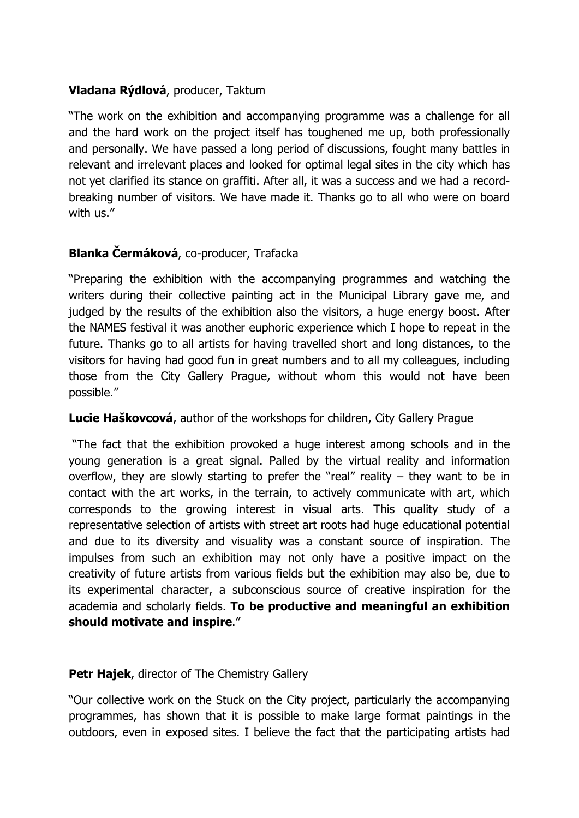# **Vladana Rýdlová**, producer, Taktum

"The work on the exhibition and accompanying programme was a challenge for all and the hard work on the project itself has toughened me up, both professionally and personally. We have passed a long period of discussions, fought many battles in relevant and irrelevant places and looked for optimal legal sites in the city which has not yet clarified its stance on graffiti. After all, it was a success and we had a recordbreaking number of visitors. We have made it. Thanks go to all who were on board with us."

# **Blanka Čermáková**, co-producer, Trafacka

"Preparing the exhibition with the accompanying programmes and watching the writers during their collective painting act in the Municipal Library gave me, and judged by the results of the exhibition also the visitors, a huge energy boost. After the NAMES festival it was another euphoric experience which I hope to repeat in the future. Thanks go to all artists for having travelled short and long distances, to the visitors for having had good fun in great numbers and to all my colleagues, including those from the City Gallery Prague, without whom this would not have been possible."

#### **Lucie Haškovcová**, author of the workshops for children, City Gallery Prague

 "The fact that the exhibition provoked a huge interest among schools and in the young generation is a great signal. Palled by the virtual reality and information overflow, they are slowly starting to prefer the "real" reality  $-$  they want to be in contact with the art works, in the terrain, to actively communicate with art, which corresponds to the growing interest in visual arts. This quality study of a representative selection of artists with street art roots had huge educational potential and due to its diversity and visuality was a constant source of inspiration. The impulses from such an exhibition may not only have a positive impact on the creativity of future artists from various fields but the exhibition may also be, due to its experimental character, a subconscious source of creative inspiration for the academia and scholarly fields. **To be productive and meaningful an exhibition should motivate and inspire**."

#### **Petr Hajek**, director of The Chemistry Gallery

"Our collective work on the Stuck on the City project, particularly the accompanying programmes, has shown that it is possible to make large format paintings in the outdoors, even in exposed sites. I believe the fact that the participating artists had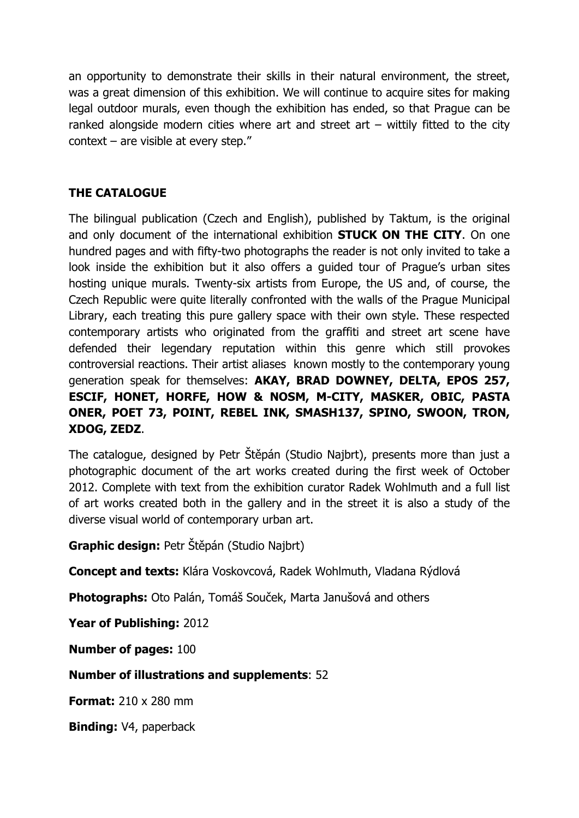an opportunity to demonstrate their skills in their natural environment, the street, was a great dimension of this exhibition. We will continue to acquire sites for making legal outdoor murals, even though the exhibition has ended, so that Prague can be ranked alongside modern cities where art and street art  $-$  wittily fitted to the city context – are visible at every step."

# **THE CATALOGUE**

The bilingual publication (Czech and English), published by Taktum, is the original and only document of the international exhibition **STUCK ON THE CITY**. On one hundred pages and with fifty-two photographs the reader is not only invited to take a look inside the exhibition but it also offers a guided tour of Prague's urban sites hosting unique murals. Twenty-six artists from Europe, the US and, of course, the Czech Republic were quite literally confronted with the walls of the Prague Municipal Library, each treating this pure gallery space with their own style. These respected contemporary artists who originated from the graffiti and street art scene have defended their legendary reputation within this genre which still provokes controversial reactions. Their artist aliases known mostly to the contemporary young generation speak for themselves: **AKAY, BRAD DOWNEY, DELTA, EPOS 257, ESCIF, HONET, HORFE, HOW & NOSM, M-CITY, MASKER, OBIC, PASTA ONER, POET 73, POINT, REBEL INK, SMASH137, SPINO, SWOON, TRON, XDOG, ZEDZ**.

The catalogue, designed by Petr Štěpán (Studio Najbrt), presents more than just a photographic document of the art works created during the first week of October 2012. Complete with text from the exhibition curator Radek Wohlmuth and a full list of art works created both in the gallery and in the street it is also a study of the diverse visual world of contemporary urban art.

**Graphic design:** Petr Štěpán (Studio Najbrt)

**Concept and texts:** Klára Voskovcová, Radek Wohlmuth, Vladana Rýdlová

**Photographs:** Oto Palán, Tomáš Souček, Marta Janušová and others

**Year of Publishing:** 2012

**Number of pages:** 100

**Number of illustrations and supplements**: 52

**Format:** 210 x 280 mm

**Binding:** V4, paperback